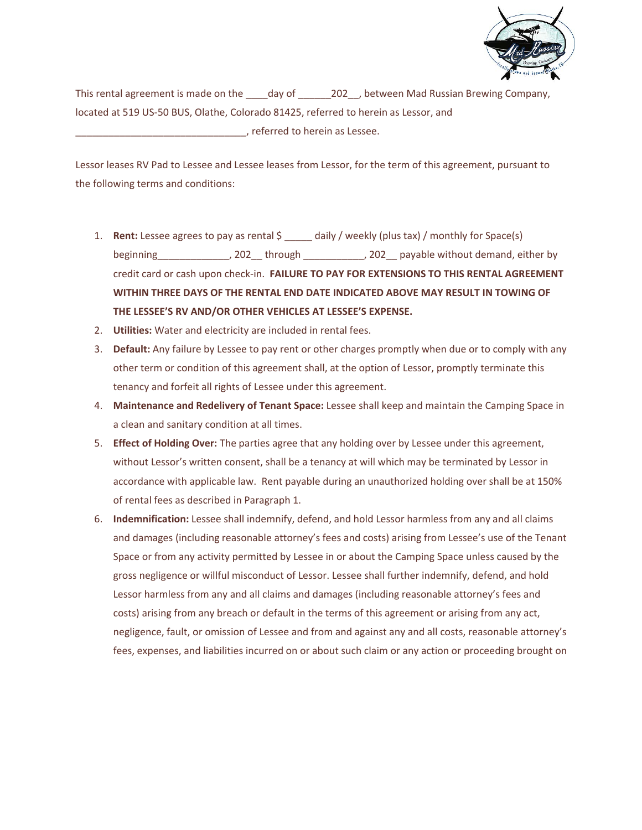

This rental agreement is made on the day of  $202$ , between Mad Russian Brewing Company, located at 519 US-50 BUS, Olathe, Colorado 81425, referred to herein as Lessor, and \_\_\_\_\_\_\_\_\_\_\_\_\_\_\_\_\_\_\_\_\_\_\_\_\_\_\_\_\_\_\_, referred to herein as Lessee.

Lessor leases RV Pad to Lessee and Lessee leases from Lessor, for the term of this agreement, pursuant to the following terms and conditions:

- 1. **Rent:** Lessee agrees to pay as rental \$ \_\_\_\_\_ daily / weekly (plus tax) / monthly for Space(s) beginning\_\_\_\_\_\_\_\_\_\_\_\_\_, 202\_\_ through \_\_\_\_\_\_\_\_\_\_\_, 202\_\_ payable without demand, either by credit card or cash upon check-in. **FAILURE TO PAY FOR EXTENSIONS TO THIS RENTAL AGREEMENT WITHIN THREE DAYS OF THE RENTAL END DATE INDICATED ABOVE MAY RESULT IN TOWING OF THE LESSEE'S RV AND/OR OTHER VEHICLES AT LESSEE'S EXPENSE.**
- 2. **Utilities:** Water and electricity are included in rental fees.
- 3. **Default:** Any failure by Lessee to pay rent or other charges promptly when due or to comply with any other term or condition of this agreement shall, at the option of Lessor, promptly terminate this tenancy and forfeit all rights of Lessee under this agreement.
- 4. **Maintenance and Redelivery of Tenant Space:** Lessee shall keep and maintain the Camping Space in a clean and sanitary condition at all times.
- 5. **Effect of Holding Over:** The parties agree that any holding over by Lessee under this agreement, without Lessor's written consent, shall be a tenancy at will which may be terminated by Lessor in accordance with applicable law. Rent payable during an unauthorized holding over shall be at 150% of rental fees as described in Paragraph 1.
- 6. **Indemnification:** Lessee shall indemnify, defend, and hold Lessor harmless from any and all claims and damages (including reasonable attorney's fees and costs) arising from Lessee's use of the Tenant Space or from any activity permitted by Lessee in or about the Camping Space unless caused by the gross negligence or willful misconduct of Lessor. Lessee shall further indemnify, defend, and hold Lessor harmless from any and all claims and damages (including reasonable attorney's fees and costs) arising from any breach or default in the terms of this agreement or arising from any act, negligence, fault, or omission of Lessee and from and against any and all costs, reasonable attorney's fees, expenses, and liabilities incurred on or about such claim or any action or proceeding brought on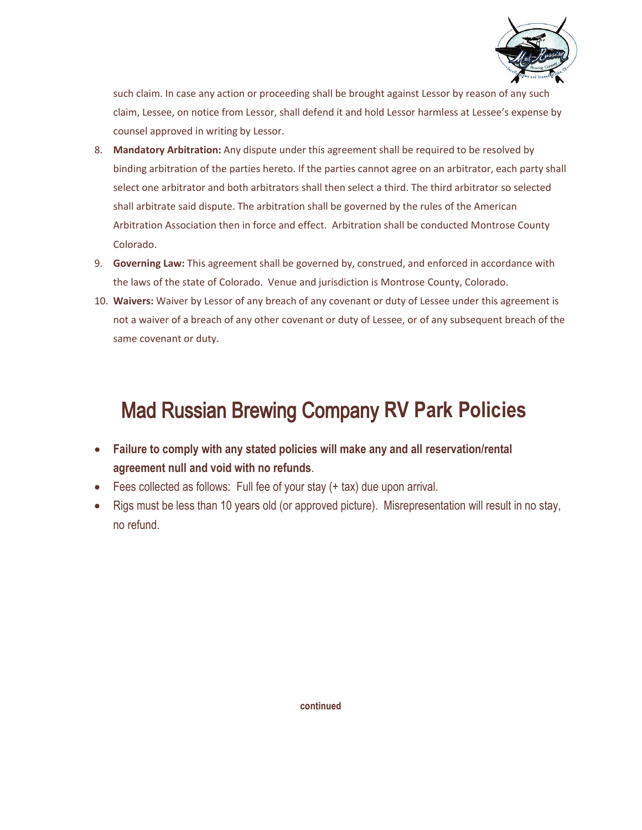

such claim. In case any action or proceeding shall be brought against Lessor by reason of any such claim, Lessee, on notice from Lessor, shall defend it and hold Lessor harmless at Lessee's expense by counsel approved in writing by Lessor.

- 8. **Mandatory Arbitration:** Any dispute under this agreement shall be required to be resolved by binding arbitration of the parties hereto. If the parties cannot agree on an arbitrator, each party shall select one arbitrator and both arbitrators shall then select a third. The third arbitrator so selected shall arbitrate said dispute. The arbitration shall be governed by the rules of the American Arbitration Association then in force and effect. Arbitration shall be conducted Montrose County Colorado.
- 9. **Governing Law:** This agreement shall be governed by, construed, and enforced in accordance with the laws of the state of Colorado. Venue and jurisdiction is Montrose County, Colorado.
- 10. **Waivers:** Waiver by Lessor of any breach of any covenant or duty of Lessee under this agreement is not a waiver of a breach of any other covenant or duty of Lessee, or of any subsequent breach of the same covenant or duty.

## Mad Russian Brewing Company **RV Park Policies**

- **Failure to comply with any stated policies will make any and all reservation/rental agreement null and void with no refunds**.
- Fees collected as follows: Full fee of your stay (+ tax) due upon arrival.
- Rigs must be less than 10 years old (or approved picture). Misrepresentation will result in no stay, no refund.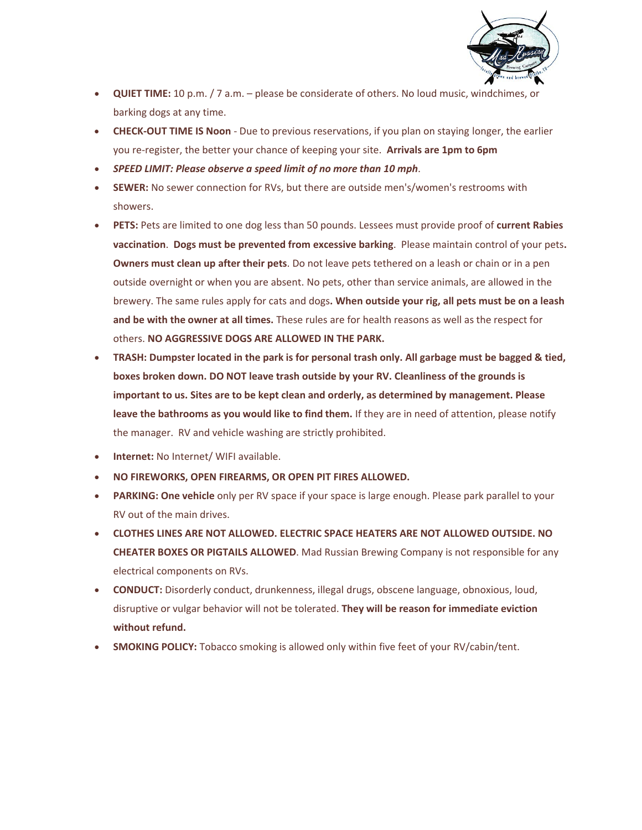

- **QUIET TIME:** 10 p.m. / 7 a.m. please be considerate of others. No loud music, windchimes, or barking dogs at any time.
- **CHECK-OUT TIME IS Noon**  Due to previous reservations, if you plan on staying longer, the earlier you re-register, the better your chance of keeping your site. **Arrivals are 1pm to 6pm**
- *SPEED LIMIT: Please observe a speed limit of no more than 10 mph*.
- **SEWER:** No sewer connection for RVs, but there are outside men's/women's restrooms with showers.
- **PETS:** Pets are limited to one dog less than 50 pounds. Lessees must provide proof of **current Rabies vaccination**. **Dogs must be prevented from excessive barking**. Please maintain control of your pets**. Owners must clean up after their pets**. Do not leave pets tethered on a leash or chain or in a pen outside overnight or when you are absent. No pets, other than service animals, are allowed in the brewery. The same rules apply for cats and dogs**. When outside your rig, all pets must be on a leash and be with the owner at all times.** These rules are for health reasons as well as the respect for others. **NO AGGRESSIVE DOGS ARE ALLOWED IN THE PARK.**
- **TRASH: Dumpster located in the park is for personal trash only. All garbage must be bagged & tied, boxes broken down. DO NOT leave trash outside by your RV. Cleanliness of the grounds is important to us. Sites are to be kept clean and orderly, as determined by management. Please leave the bathrooms as you would like to find them.** If they are in need of attention, please notify the manager. RV and vehicle washing are strictly prohibited.
- **Internet:** No Internet/ WIFI available.
- **NO FIREWORKS, OPEN FIREARMS, OR OPEN PIT FIRES ALLOWED.**
- **PARKING: One vehicle** only per RV space if your space is large enough. Please park parallel to your RV out of the main drives.
- **CLOTHES LINES ARE NOT ALLOWED. ELECTRIC SPACE HEATERS ARE NOT ALLOWED OUTSIDE. NO CHEATER BOXES OR PIGTAILS ALLOWED**. Mad Russian Brewing Company is not responsible for any electrical components on RVs.
- **CONDUCT:** Disorderly conduct, drunkenness, illegal drugs, obscene language, obnoxious, loud, disruptive or vulgar behavior will not be tolerated. **They will be reason for immediate eviction without refund.**
- **SMOKING POLICY:** Tobacco smoking is allowed only within five feet of your RV/cabin/tent.